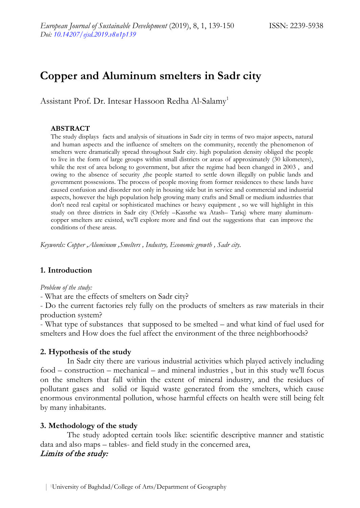# **Copper and Aluminum smelters in Sadr city**

Assistant Prof. Dr. Intesar Hassoon Redha Al-Salamy1

#### **ABSTRACT**

The study displays facts and analysis of situations in Sadr city in terms of two major aspects, natural and human aspects and the influence of smelters on the community, recently the phenomenon of smelters were dramatically spread throughout Sadr city. high population density obliged the people to live in the form of large groups within small districts or areas of approximately (30 kilometers), while the rest of area belong to government, but after the regime had been changed in 2003 , and owing to the absence of security ,the people started to settle down illegally on public lands and government possessions. The process of people moving from former residences to these lands have caused confusion and disorder not only in housing side but in service and commercial and industrial aspects, however the high population help growing many crafts and Small or medium industries that don't need real capital or sophisticated machines or heavy equipment , so we will highlight in this study on three districts in Sadr city (Orfely –Kassrhe wa Atash– Tariq) where many aluminumcopper smelters are existed, we'll explore more and find out the suggestions that can improve the conditions of these areas.

*Keywords: Copper ,Aluminum ,Smelters , Industry, Economic growth , Sadr city.*

#### **1. Introduction**

*Problem of the study:*

- What are the effects of smelters on Sadr city?

- Do the current factories rely fully on the products of smelters as raw materials in their production system?

- What type of substances that supposed to be smelted – and what kind of fuel used for smelters and How does the fuel affect the environment of the three neighborhoods?

#### **2. Hypothesis of the study**

In Sadr city there are various industrial activities which played actively including food – construction – mechanical – and mineral industries , but in this study we'll focus on the smelters that fall within the extent of mineral industry, and the residues of pollutant gases and solid or liquid waste generated from the smelters, which cause enormous environmental pollution, whose harmful effects on health were still being felt by many inhabitants.

#### **3. Methodology of the study**

The study adopted certain tools like: scientific descriptive manner and statistic data and also maps – tables- and field study in the concerned area,

#### Limits of the study: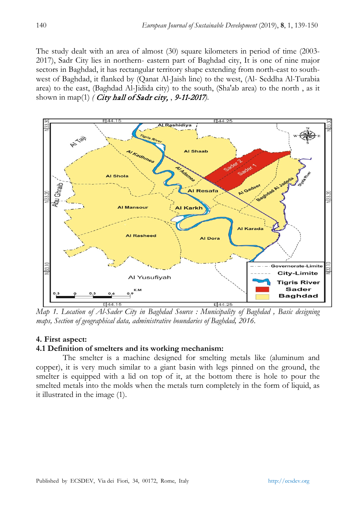The study dealt with an area of almost (30) square kilometers in period of time (2003- 2017), Sadr City lies in northern- eastern part of Baghdad city, It is one of nine major sectors in Baghdad, it has rectangular territory shape extending from north-east to southwest of Baghdad, it flanked by (Qanat Al-Jaish line) to the west, (Al- Seddha Al-Turabia area) to the east, (Baghdad Al-Jidida city) to the south, (Sha'ab area) to the north , as it shown in map(1) *(* City hall of Sadr city, , 9-11-2017*)*.



*Map 1. Location of Al-Sader City in Baghdad Source : Municipality of Baghdad , Basic designing maps, Section of geographical data, administrative boundaries of Baghdad, 2016.*

#### **4. First aspect:**

#### **4.1 Definition of smelters and its working mechanism:**

The smelter is a machine designed for smelting metals like (aluminum and copper), it is very much similar to a giant basin with legs pinned on the ground, the smelter is equipped with a lid on top of it, at the bottom there is hole to pour the smelted metals into the molds when the metals turn completely in the form of liquid, as it illustrated in the image (1).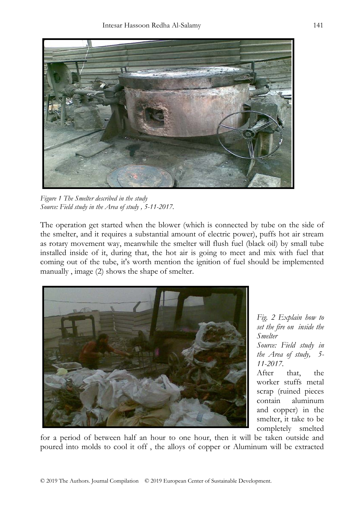

*Figure 1 The Smelter described in the study Source: Field study in the Area of study , 5-11-2017.*

The operation get started when the blower (which is connected by tube on the side of the smelter, and it requires a substantial amount of electric power), puffs hot air stream as rotary movement way, meanwhile the smelter will flush fuel (black oil) by small tube installed inside of it, during that, the hot air is going to meet and mix with fuel that coming out of the tube, it's worth mention the ignition of fuel should be implemented manually , image (2) shows the shape of smelter.



*Fig. 2 Explain how to set the fire on inside the Smelter Source: Field study in the Area of study, 5- 11-2017.* 

After that, the worker stuffs metal scrap (ruined pieces contain aluminum and copper) in the smelter, it take to be completely smelted

for a period of between half an hour to one hour, then it will be taken outside and poured into molds to cool it off , the alloys of copper or Aluminum will be extracted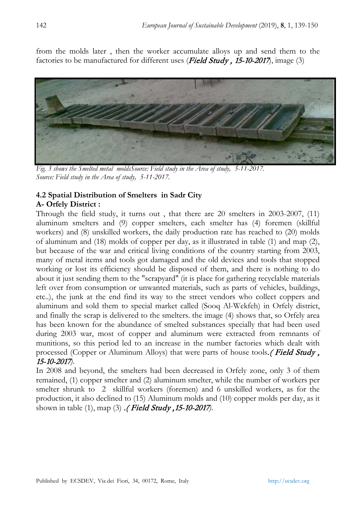from the molds later , then the worker accumulate alloys up and send them to the factories to be manufactured for different uses (*Field Study*, 15-10-2017), image (3)



*Fig. 3 shows the Smelted metal moldsSource: Field study in the Area of study, 5-11 Source: Field study in the Area of study, 5-11-2017.*

#### **4.2 Spatial Distribution of Smelters in Sadr City A- Orfely District :**

Through the field study, it turns out , that there are 20 smelters in 2003-2007, (11) aluminum smelters and (9) copper smelters, each smelter has (4) foremen (skillful workers) and (8) unskilled workers, the daily production rate has reached to (20) molds of aluminum and (18) molds of copper per day, as it illustrated in table (1) and map (2), but because of the war and critical living conditions of the country starting from 2003, many of metal items and tools got damaged and the old devices and tools that stopped working or lost its efficiency should be disposed of them, and there is nothing to do about it just sending them to the "scrapyard" (it is place for gatherin[g recyclable](https://en.wikipedia.org/wiki/Recyclable) materials left over from consumption or unwanted materials, such as parts of vehicles, buildings, etc..), the junk at the end find its way to the street vendors who collect coppers and aluminum and sold them to special market called (Sooq Al-Wekfeh) in Orfely district, and finally the scrap is delivered to the smelters. the image (4) shows that, so Orfely area has been known for the abundance of smelted substances specially that had been used during 2003 war, most of copper and aluminum were extracted from remnants of munitions, so this period led to an increase in the number factories which dealt with processed (Copper or Aluminum Alloys) that were parts of house tools. (Field Study, 15-10-2017*)*.

In 2008 and beyond, the smelters had been decreased in Orfely zone, only 3 of them remained, (1) copper smelter and (2) aluminum smelter, while the number of workers per smelter shrunk to 2 skillful workers (foremen) and 6 unskilled workers, as for the production, it also declined to (15) Aluminum molds and (10) copper molds per day, as it shown in table (1), map (3) .( Field Study ,15-10-2017*)*.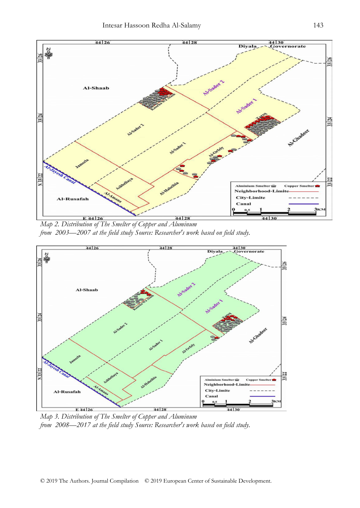

*Map 2. Distribution of The Smelter of Copper and Aluminum from 2003—2007 at the field study Source: Researcher's work based on field study.* 



*Map 3. Distribution of The Smelter of Copper and Aluminum from 2008—2017 at the field study Source: Researcher's work based on field study.*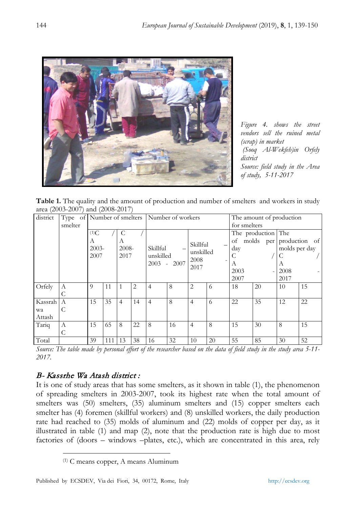

*Figure 4. shows the street vendors sell the ruined metal (scrap) in market (Sooq Al-Wekfeh)in Orfely district Source: field study in the Area of study, 5-11-2017*

**Table 1.** The quality and the amount of production and number of smelters and workers in study area (2003-2007) and (2008-2017)

| district |         |  |                  |     |                |    | Type of Number of smelters Number of workers |         |                       |    | The amount of production |                            |               |    |
|----------|---------|--|------------------|-----|----------------|----|----------------------------------------------|---------|-----------------------|----|--------------------------|----------------------------|---------------|----|
|          | smelter |  |                  |     |                |    |                                              |         |                       |    | for smelters             |                            |               |    |
|          |         |  | (1)C             |     | C              |    |                                              |         |                       |    |                          | The production The         |               |    |
|          |         |  | A                |     | А              |    |                                              |         |                       |    |                          | of molds per production of |               |    |
|          |         |  | $2003 -$<br>2007 |     | 2008-<br>2017  |    | Skillful<br>unskilled                        |         | Skillful<br>unskilled |    | day                      |                            | molds per day |    |
|          |         |  |                  |     |                |    |                                              |         |                       |    |                          |                            | C             |    |
|          |         |  |                  |     |                |    | 2003                                         | $-2007$ | 2008                  |    | А                        |                            | A             |    |
|          |         |  |                  |     |                |    |                                              |         | 2017                  |    | 2003                     |                            | 2008          |    |
|          |         |  |                  |     |                |    |                                              |         |                       |    | 2007                     |                            | 2017          |    |
| Orfely   | A       |  | 9                | 11  |                | 2  | $\overline{4}$                               | 8       | 2                     | 6  | 18                       | 20                         | 10            | 15 |
|          | C       |  |                  |     |                |    |                                              |         |                       |    |                          |                            |               |    |
| Kassrah  | A       |  | 15               | 35  | $\overline{4}$ | 14 | $\overline{4}$                               | 8       | 4                     | 6  | 22                       | 35                         | 12            | 22 |
| wa       | C       |  |                  |     |                |    |                                              |         |                       |    |                          |                            |               |    |
| Attash   |         |  |                  |     |                |    |                                              |         |                       |    |                          |                            |               |    |
| Tariq    | А       |  | 15               | 65  | 8              | 22 | 8                                            | 16      | $\overline{4}$        | 8  | 15                       | 30                         | 8             | 15 |
|          | C       |  |                  |     |                |    |                                              |         |                       |    |                          |                            |               |    |
| Total    |         |  | 39               | 111 | 13             | 38 | 16                                           | 32      | 10                    | 20 | 55                       | 85                         | 30            | 52 |

*Source: The table made by personal effort of the researcher based on the data of field study in the study area 5-11- 2017.*

# B- Kassrhe Wa Atash district :

It is one of study areas that has some smelters, as it shown in table (1), the phenomenon of spreading smelters in 2003-2007, took its highest rate when the total amount of smelters was (50) smelters, (35) aluminum smelters and (15) copper smelters each smelter has (4) foremen (skillful workers) and (8) unskilled workers, the daily production rate had reached to (35) molds of aluminum and (22) molds of copper per day, as it illustrated in table (1) and map (2), note that the production rate is high due to most factories of (doors – windows –plates, etc.), which are concentrated in this area, rely

 <sup>(1)</sup> C means copper, A means Aluminum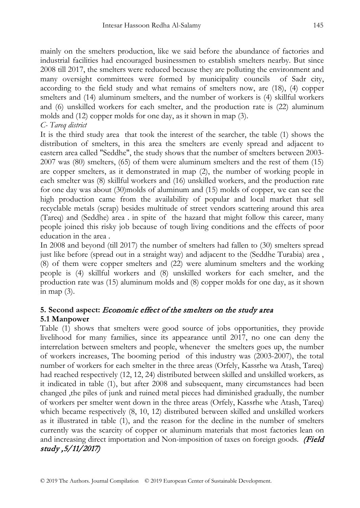mainly on the smelters production, like we said before the abundance of factories and industrial facilities had encouraged businessmen to establish smelters nearby. But since 2008 till 2017, the smelters were reduced because they are polluting the environment and many oversight committees were formed by municipality councils of Sadr city, according to the field study and what remains of smelters now, are (18), (4) copper smelters and (14) aluminum smelters, and the number of workers is (4) skillful workers and (6) unskilled workers for each smelter, and the production rate is (22) aluminum molds and (12) copper molds for one day, as it shown in map (3).

### *C- Tareq district*

It is the third study area that took the interest of the searcher, the table (1) shows the distribution of smelters, in this area the smelters are evenly spread and adjacent to eastern area called "Seddhe", the study shows that the number of smelters between 2003- 2007 was (80) smelters, (65) of them were aluminum smelters and the rest of them (15) are copper smelters, as it demonstrated in map (2), the number of working people in each smelter was (8) skillful workers and (16) unskilled workers, and the production rate for one day was about (30)molds of aluminum and (15) molds of copper, we can see the high production came from the availability of popular and local market that sell recyclable metals (scrap) besides multitude of street vendors scattering around this area (Tareq) and (Seddhe) area . in spite of the hazard that might follow this career, many people joined this risky job because of tough living conditions and the effects of poor education in the area .

In 2008 and beyond (till 2017) the number of smelters had fallen to (30) smelters spread just like before (spread out in a straight way) and adjacent to the (Seddhe Turabia) area , (8) of them were copper smelters and (22) were aluminum smelters and the working people is (4) skillful workers and (8) unskilled workers for each smelter, and the production rate was (15) aluminum molds and (8) copper molds for one day, as it shown in map (3).

# **5. Second aspect:** Economic effect of the smelters on the study area **5.1 Manpower**

Table (1) shows that smelters were good source of jobs opportunities, they provide livelihood for many families, since its appearance until 2017, no one can deny the interrelation between smelters and people, whenever the smelters goes up, the number of workers increases, The booming period of this industry was (2003-2007), the total number of workers for each smelter in the three areas (Orfely, Kassrhe wa Atash, Tareq) had reached respectively (12, 12, 24) distributed between skilled and unskilled workers, as it indicated in table (1), but after 2008 and subsequent, many circumstances had been changed ,the piles of junk and ruined metal pieces had diminished gradually, the number of workers per smelter went down in the three areas (Orfely, Kassrhe whe Atash, Tareq) which became respectively (8, 10, 12) distributed between skilled and unskilled workers as it illustrated in table (1), and the reason for the decline in the number of smelters currently was the scarcity of copper or aluminum materials that most factories lean on and increasing direct importation and Non-imposition of taxes on foreign goods. (Field study ,5/11/2017)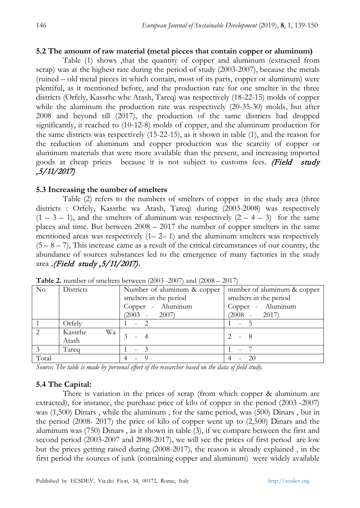#### **5.2 The amount of raw material (metal pieces that contain copper or aluminum)**

Table (1) shows ,that the quantity of copper and aluminum (extracted from scrap) was at the highest rate during the period of study (2003-2007), because the metals (ruined – old metal pieces in which contain, most of its parts, copper or aluminum) were plentiful, as it mentioned before, and the production rate for one smelter in the three districts (Orfely, Kassrhe whe Atash, Tareq) was respectively (18-22-15) molds of copper while the aluminum the production rate was respectively (20-35-30) molds, but after 2008 and beyond till (2017), the production of the same districts had dropped significantly, it reached to (10-12-8) molds of copper, and the aluminum production for the same districts was respectively (15-22-15), as it shown in table (1), and the reason for the reduction of aluminum and copper production was the scarcity of copper or aluminum materials that were more available than the present, and increasing imported goods at cheap prices because it is not subject to customs fees. (Field study ,5/11/2017)

#### **5.3 Increasing the number of smelters**

Table (2) refers to the numbers of smelters of copper in the study area (three districts : Orfely, Kassrhe wa Atash, Tareq) during (2003-2008) was respectively  $(1 - 3 - 1)$ , and the smelters of aluminum was respectively  $(2 - 4 - 3)$  for the same places and time. But between  $2008 - 2017$  the number of copper smelters in the same mentioned areas was respectively  $(1 - 2 - 1)$  and the aluminum smelters was respectively  $(5 - 8 - 7)$ , This increase came as a result of the critical circumstances of our country, the abundance of sources substances led to the emergence of many factories in the study area .(Field study ,5/11/2017)**.**

| $\rm No$       | Districts     | Number of aluminum & copper | number of aluminum & copper |  |  |
|----------------|---------------|-----------------------------|-----------------------------|--|--|
|                |               | smelters in the period      | smelters in the period      |  |  |
|                |               | Copper - Aluminum           | Copper - Aluminum           |  |  |
|                |               | $(2003 - 2007)$             | $(2008 - 2017)$             |  |  |
|                | Orfely        |                             | $-5$                        |  |  |
| $\overline{2}$ | Kassrhe<br>Wa |                             |                             |  |  |
|                | Atash         |                             | - 8                         |  |  |
|                | Tareq         | ۰                           |                             |  |  |
| Total          |               |                             | -20                         |  |  |

**Table 2.** number of smelters between (2003 -2007) and (2008 – 2017)

*Source: The table is made by personal effort of the researcher based on the data of field study.*

#### **5.4 The Capital:**

There is variation in the prices of scrap (from which copper & aluminum are extracted), for instance, the purchase price of kilo of copper in the period (2003 -2007) was (1,500) Dinars , while the aluminum , for the same period, was (500) Dinars , but in the period (2008- 2017) the price of kilo of copper went up to (2,500) Dinars and the aluminum was (750) Dinars , as it shown in table (3), if we compare between the first and second period (2003-2007 and 2008-2017), we will see the prices of first period are low but the prices getting raised during (2008-2017), the reason is already explained , in the first period the sources of junk (containing copper and aluminum) were widely available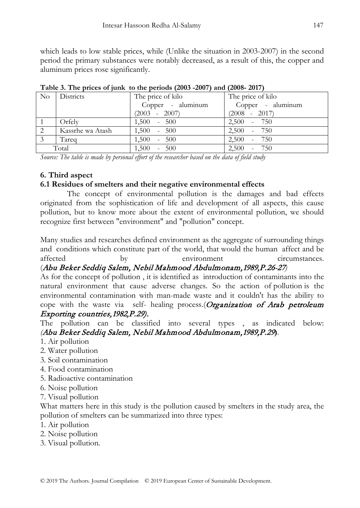which leads to low stable prices, while (Unlike the situation in 2003-2007) in the second period the primary substances were notably decreased, as a result of this, the copper and aluminum prices rose significantly.

| Table 5. The prices of juing to the perious (2005–2007) and (2000–2017) |                  |                   |                   |  |  |  |  |
|-------------------------------------------------------------------------|------------------|-------------------|-------------------|--|--|--|--|
|                                                                         | No Districts     | The price of kilo | The price of kilo |  |  |  |  |
|                                                                         |                  | Copper - aluminum | Copper - aluminum |  |  |  |  |
|                                                                         |                  | $(2003 - 2007)$   | $(2008 - 2017)$   |  |  |  |  |
|                                                                         | Orfely           | $1,500 - 500$     | $2,500 - 750$     |  |  |  |  |
| 2                                                                       | Kassrhe wa Atash | $1,500 - 500$     | $2,500 - 750$     |  |  |  |  |
| -3                                                                      | Tareg            | $1,500 - 500$     | $2,500 - 750$     |  |  |  |  |
|                                                                         | Total            | $1,500 - 500$     | $2,500 - 750$     |  |  |  |  |

**Table 3. The prices of junk to the periods (2003 -2007) and (2008- 2017)**

*Source: The table is made by personal effort of the researcher based on the data of field study*

### **6. Third aspect**

# **6.1 Residues of smelters and their negative environmental effects**

The concept of environmental pollution is the damages and bad effects originated from the sophistication of life and development of all aspects, this cause pollution, but to know more about the extent of environmental pollution, we should recognize first between "environment" and "pollution" concept.

Many studies and researches defined environment as the aggregate of surrounding things and conditions which constitute part of the world, that would the human [affect and be](http://context.reverso.net/translation/english-arabic/both+affect+and+be+affected+by)  [affected by](http://context.reverso.net/translation/english-arabic/both+affect+and+be+affected+by) environment circumstances.

# (Abu Beker Seddiq Salem, Nebil Mahmood Abdulmonam,1989,P.26-27*)*

As for the concept of pollution , it is identified as introduction of contaminants into the natural environment that cause adverse changes. So the action of [pollution](https://www.merriam-webster.com/dictionary/polluting) is the environmental contamination with man-made waste and it couldn't has the ability to cope with the waste via self- healing process.(Organization of Arab petroleum Exporting countries,1982,P.29).

# The pollution can be classified into several types , as indicated below: *(*Abu Beker Seddiq Salem, Nebil Mahmood Abdulmonam,1989,P.29**)**.

- 1. [Air pollution](https://en.wikipedia.org/wiki/Air_pollution)
- 2. [Water pollution](https://en.wikipedia.org/wiki/Water_pollution)
- 3. [Soil contamination](https://en.wikipedia.org/wiki/Soil_contamination)
- 4. Food contamination
- 5. [Radioactive contamination](https://en.wikipedia.org/wiki/Radioactive_contamination)
- 6. [Noise pollution](https://en.wikipedia.org/wiki/Noise_pollution)
- 7. [Visual pollution](https://en.wikipedia.org/wiki/Visual_pollution)

What matters here in this study is the pollution caused by smelters in the study area, the pollution of smelters can be summarized into three types:

- 1. [Air pollution](https://en.wikipedia.org/wiki/Air_pollution)
- 2. Noise pollution
- 3. Visual pollution.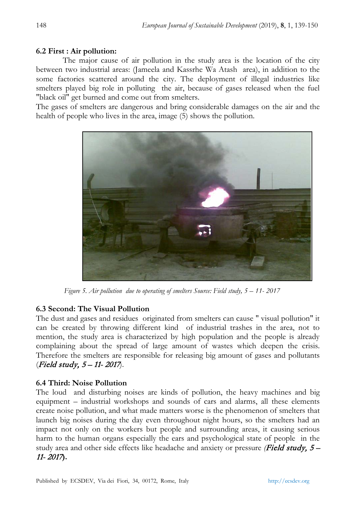### **6.2 First : Air pollution:**

The major cause of air pollution in the study area is the location of the city between two industrial areas: (Jameela and Kassrhe Wa Atash area), in addition to the some factories scattered around the city. The deployment of illegal industries like smelters played big role in polluting the air, because of gases released when the fuel "black oil" get burned and come out from smelters.

The gases of smelters are dangerous and bring considerable damages on the air and the health of people who lives in the area, image (5) shows the pollution.



 *Figure 5. Air pollution due to operating of smelters Source: Field study, 5 – 11- 2017*

#### **6.3 Second: The Visual Pollution**

The dust and gases and residues originated from smelters can cause " visual pollution" it can be created by throwing different kind of industrial trashes in the area, not to mention, the study area is characterized by high population and the people is already complaining about the spread of large amount of wastes which deepen the crisis. Therefore the smelters are responsible for releasing big amount of gases and pollutants (Field study, 5 – 11- 2017).

#### **6.4 Third: Noise Pollution**

The loud and disturbing noises are kinds of pollution, the heavy machines and big equipment – industrial workshops and sounds of cars and alarms, all these elements create noise pollution, and what made matters worse is the phenomenon of smelters that launch big noises during the day even throughout night hours, so the smelters had an impact not only on the workers but people and surrounding areas, it causing serious harm to the human organs especially the ears and psychological state of people in the study area and other side effects like headache and anxiety or pressure *(*Field study, 5 – 11- 2017**).**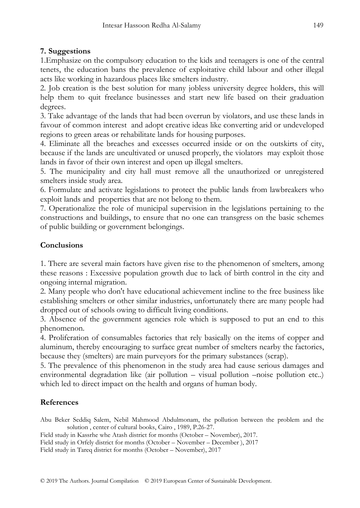# **7. Suggestions**

1.Emphasize on the compulsory education to the kids and teenagers is one of the central tenets, the education bans the prevalence of exploitative child labour and other illegal acts like working in hazardous places like smelters industry.

2. Job creation is the best solution for many jobless university degree holders, this will help them to quit freelance businesses and start new life based on their graduation degrees.

3. Take advantage of the lands that had been overrun by violators, and use these lands in favour of common interest and adopt creative ideas like converting arid or undeveloped regions to green areas or rehabilitate lands for housing purposes.

4. Eliminate all the breaches and excesses occurred inside or on the outskirts of city, because if the lands are uncultivated or unused properly, the violators may exploit those lands in favor of their own interest and open up illegal smelters.

5. The municipality and city hall must remove all the unauthorized or unregistered smelters inside study area.

6. Formulate and activate legislations to protect the public lands from lawbreakers who exploit lands and properties that are not belong to them.

7. Operationalize the role of municipal supervision in the legislations pertaining to the constructions and buildings, to ensure that no one can transgress on the basic schemes of public building or government belongings.

# **Conclusions**

1. There are several main factors have given rise to the phenomenon of smelters, among these reasons : Excessive population growth due to lack of birth control in the city and ongoing internal migration.

2. Many people who don't have educational achievement incline to the free business like establishing smelters or other similar industries, unfortunately there are many people had dropped out of schools owing to difficult living conditions.

3. Absence of the government agencies role which is supposed to put an end to this phenomenon.

4. Proliferation of consumables factories that rely basically on the items of copper and aluminum, thereby encouraging to surface great number of smelters nearby the factories, because they (smelters) are main purveyors for the primary substances (scrap).

5. The prevalence of this phenomenon in the study area had cause serious damages and environmental degradation like (air pollution – visual pollution –noise pollution etc..) which led to direct impact on the health and organs of human body.

# **References**

Abu Beker Seddiq Salem, Nebil Mahmood Abdulmonam, the pollution between the problem and the solution , center of cultural books, Cairo , 1989, P.26-27.

Field study in Kassrhe whe Atash district for months (October – November), 2017. Field study in Orfely district for months (October – November – December ), 2017 Field study in Tareq district for months (October – November), 2017